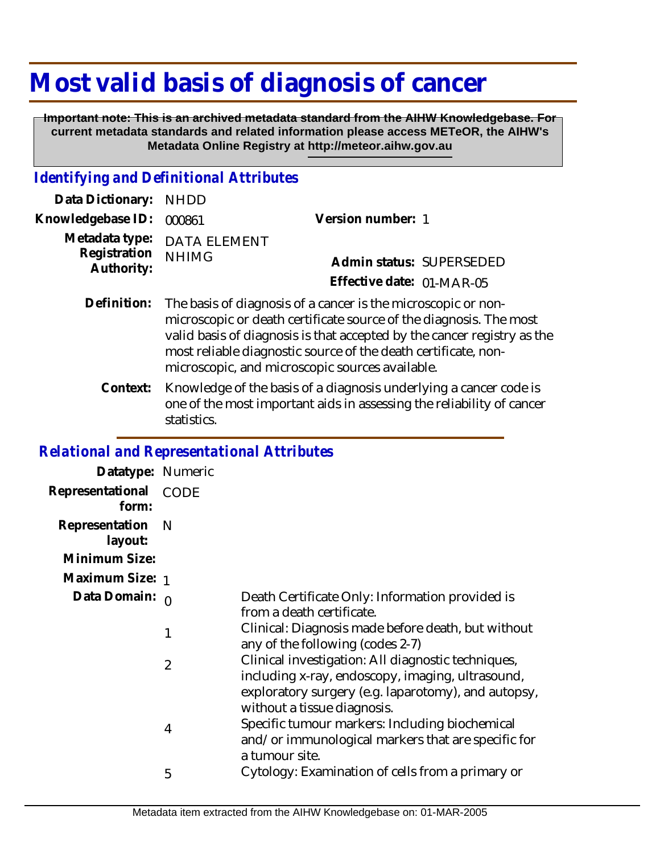## **Most valid basis of diagnosis of cancer**

 **Important note: This is an archived metadata standard from the AIHW Knowledgebase. For current metadata standards and related information please access METeOR, the AIHW's Metadata Online Registry at http://meteor.aihw.gov.au**

## *Identifying and Definitional Attributes*

| Data Dictionary: NHDD      |                             |                                                                           |
|----------------------------|-----------------------------|---------------------------------------------------------------------------|
| Knowledgebase ID: 000861   |                             | Version number: 1                                                         |
|                            | Metadata type: DATA ELEMENT |                                                                           |
| Registration<br>Authority: | <b>NHIMG</b>                | Admin status: SUPERSEDED                                                  |
|                            |                             | Effective date: 01-MAR-05                                                 |
|                            |                             | Definition: The basis of diagnosis of a cancer is the microscopic or non- |

- microscopic or death certificate source of the diagnosis. The most valid basis of diagnosis is that accepted by the cancer registry as the most reliable diagnostic source of the death certificate, nonmicroscopic, and microscopic sources available.
	- Knowledge of the basis of a diagnosis underlying a cancer code is one of the most important aids in assessing the reliability of cancer statistics. **Context:**

## *Relational and Representational Attributes*

| Datatype: Numeric           |                           |                                                                                                                                                               |
|-----------------------------|---------------------------|---------------------------------------------------------------------------------------------------------------------------------------------------------------|
| Representational<br>form:   | CODE                      |                                                                                                                                                               |
| Representation N<br>layout: |                           |                                                                                                                                                               |
| Minimum Size:               |                           |                                                                                                                                                               |
| Maximum Size: 1             |                           |                                                                                                                                                               |
| Data Domain: 0              | from a death certificate. | Death Certificate Only: Information provided is                                                                                                               |
|                             | 1                         | Clinical: Diagnosis made before death, but without<br>any of the following (codes 2-7)                                                                        |
|                             | $\overline{2}$            | Clinical investigation: All diagnostic techniques,<br>including x-ray, endoscopy, imaging, ultrasound,<br>exploratory surgery (e.g. laparotomy), and autopsy, |
|                             |                           | without a tissue diagnosis.                                                                                                                                   |
|                             | 4                         | Specific tumour markers: Including biochemical<br>and/or immunological markers that are specific for<br>a tumour site.                                        |
|                             | 5                         | Cytology: Examination of cells from a primary or                                                                                                              |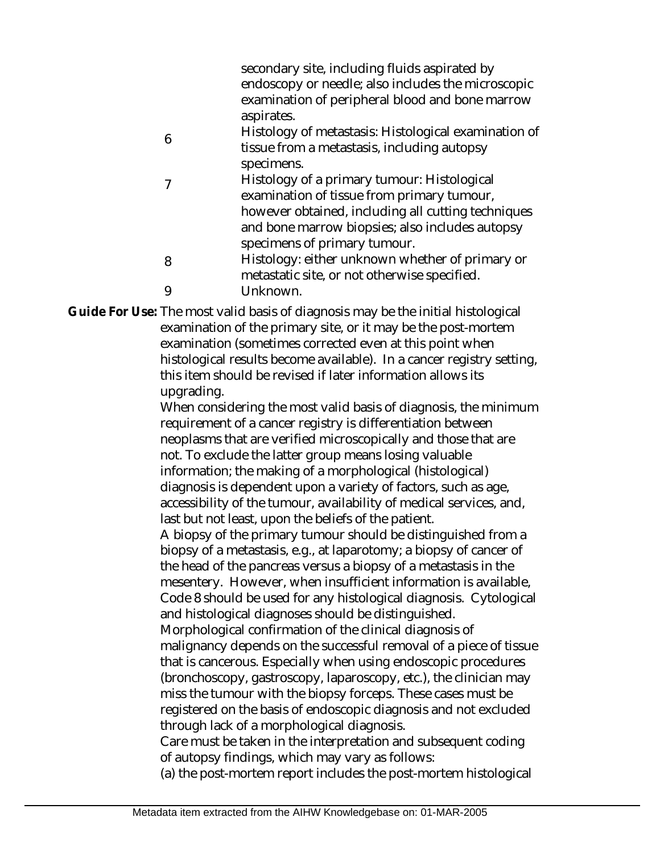|   | secondary site, including fluids aspirated by        |
|---|------------------------------------------------------|
|   | endoscopy or needle; also includes the microscopic   |
|   | examination of peripheral blood and bone marrow      |
|   | aspirates.                                           |
| 6 | Histology of metastasis: Histological examination of |
|   | tissue from a metastasis, including autopsy          |
|   | specimens.                                           |
| 7 | Histology of a primary tumour: Histological          |
|   | examination of tissue from primary tumour,           |
|   | however obtained, including all cutting techniques   |
|   | and bone marrow biopsies; also includes autopsy      |
|   | specimens of primary tumour.                         |
| 8 | Histology: either unknown whether of primary or      |
|   | metastatic site, or not otherwise specified.         |
| Q | Unknown.                                             |
|   |                                                      |

Guide For Use: The most valid basis of diagnosis may be the initial histological examination of the primary site, or it may be the post-mortem examination (sometimes corrected even at this point when histological results become available). In a cancer registry setting, this item should be revised if later information allows its upgrading.

When considering the most valid basis of diagnosis, the minimum requirement of a cancer registry is differentiation between neoplasms that are verified microscopically and those that are not. To exclude the latter group means losing valuable information; the making of a morphological (histological) diagnosis is dependent upon a variety of factors, such as age, accessibility of the tumour, availability of medical services, and, last but not least, upon the beliefs of the patient.

A biopsy of the primary tumour should be distinguished from a biopsy of a metastasis, e.g., at laparotomy; a biopsy of cancer of the head of the pancreas versus a biopsy of a metastasis in the mesentery. However, when insufficient information is available, Code 8 should be used for any histological diagnosis. Cytological and histological diagnoses should be distinguished.

Morphological confirmation of the clinical diagnosis of malignancy depends on the successful removal of a piece of tissue that is cancerous. Especially when using endoscopic procedures (bronchoscopy, gastroscopy, laparoscopy, etc.), the clinician may miss the tumour with the biopsy forceps. These cases must be registered on the basis of endoscopic diagnosis and not excluded through lack of a morphological diagnosis.

Care must be taken in the interpretation and subsequent coding of autopsy findings, which may vary as follows:

(a) the post-mortem report includes the post-mortem histological